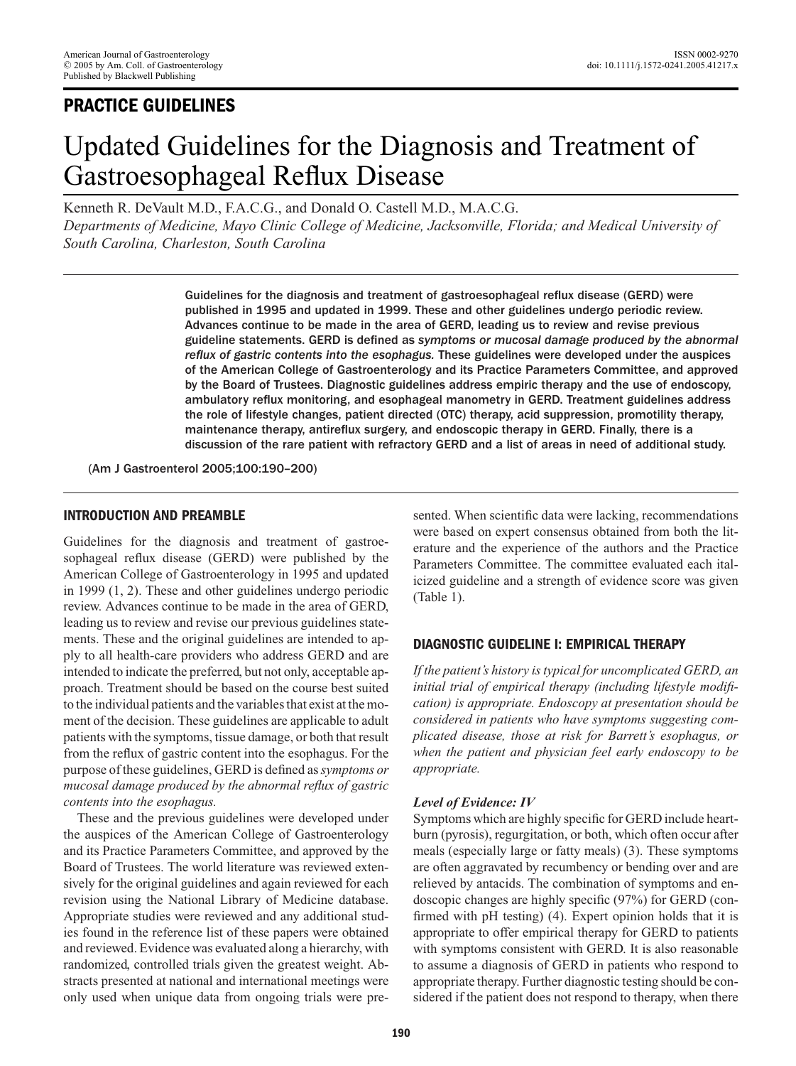# **PRACTICE GUIDELINES**

# Updated Guidelines for the Diagnosis and Treatment of Gastroesophageal Reflux Disease

Kenneth R. DeVault M.D., F.A.C.G., and Donald O. Castell M.D., M.A.C.G.

*Departments of Medicine, Mayo Clinic College of Medicine, Jacksonville, Florida; and Medical University of South Carolina, Charleston, South Carolina*

> Guidelines for the diagnosis and treatment of gastroesophageal reflux disease (GERD) were published in 1995 and updated in 1999. These and other guidelines undergo periodic review. Advances continue to be made in the area of GERD, leading us to review and revise previous guideline statements. GERD is defined as *symptoms or mucosal damage produced by the abnormal reflux of gastric contents into the esophagus.* These guidelines were developed under the auspices of the American College of Gastroenterology and its Practice Parameters Committee, and approved by the Board of Trustees. Diagnostic guidelines address empiric therapy and the use of endoscopy, ambulatory reflux monitoring, and esophageal manometry in GERD. Treatment guidelines address the role of lifestyle changes, patient directed (OTC) therapy, acid suppression, promotility therapy, maintenance therapy, antireflux surgery, and endoscopic therapy in GERD. Finally, there is a discussion of the rare patient with refractory GERD and a list of areas in need of additional study.

(Am J Gastroenterol 2005;100:190–200)

#### **INTRODUCTION AND PREAMBLE**

Guidelines for the diagnosis and treatment of gastroesophageal reflux disease (GERD) were published by the American College of Gastroenterology in 1995 and updated in 1999 (1, 2). These and other guidelines undergo periodic review. Advances continue to be made in the area of GERD, leading us to review and revise our previous guidelines statements. These and the original guidelines are intended to apply to all health-care providers who address GERD and are intended to indicate the preferred, but not only, acceptable approach. Treatment should be based on the course best suited to the individual patients and the variables that exist at the moment of the decision. These guidelines are applicable to adult patients with the symptoms, tissue damage, or both that result from the reflux of gastric content into the esophagus. For the purpose of these guidelines, GERD is defined as*symptoms or mucosal damage produced by the abnormal reflux of gastric contents into the esophagus.*

These and the previous guidelines were developed under the auspices of the American College of Gastroenterology and its Practice Parameters Committee, and approved by the Board of Trustees. The world literature was reviewed extensively for the original guidelines and again reviewed for each revision using the National Library of Medicine database. Appropriate studies were reviewed and any additional studies found in the reference list of these papers were obtained and reviewed. Evidence was evaluated along a hierarchy, with randomized, controlled trials given the greatest weight. Abstracts presented at national and international meetings were only used when unique data from ongoing trials were presented. When scientific data were lacking, recommendations were based on expert consensus obtained from both the literature and the experience of the authors and the Practice Parameters Committee. The committee evaluated each italicized guideline and a strength of evidence score was given (Table 1).

#### **DIAGNOSTIC GUIDELINE I: EMPIRICAL THERAPY**

*If the patient's history is typical for uncomplicated GERD, an initial trial of empirical therapy (including lifestyle modification) is appropriate. Endoscopy at presentation should be considered in patients who have symptoms suggesting complicated disease, those at risk for Barrett's esophagus, or when the patient and physician feel early endoscopy to be appropriate.*

#### *Level of Evidence: IV*

Symptoms which are highly specific for GERD include heartburn (pyrosis), regurgitation, or both, which often occur after meals (especially large or fatty meals) (3). These symptoms are often aggravated by recumbency or bending over and are relieved by antacids. The combination of symptoms and endoscopic changes are highly specific (97%) for GERD (confirmed with pH testing) (4). Expert opinion holds that it is appropriate to offer empirical therapy for GERD to patients with symptoms consistent with GERD. It is also reasonable to assume a diagnosis of GERD in patients who respond to appropriate therapy. Further diagnostic testing should be considered if the patient does not respond to therapy, when there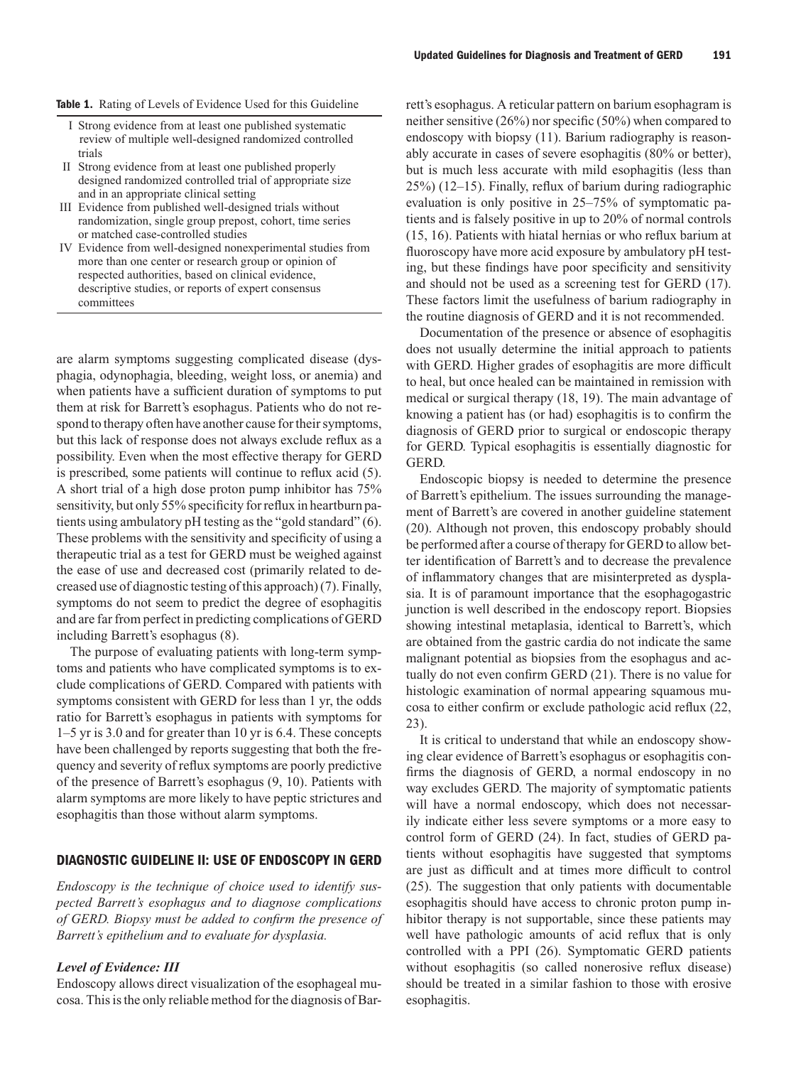- I Strong evidence from at least one published systematic review of multiple well-designed randomized controlled trials
- II Strong evidence from at least one published properly designed randomized controlled trial of appropriate size and in an appropriate clinical setting
- III Evidence from published well-designed trials without randomization, single group prepost, cohort, time series or matched case-controlled studies
- IV Evidence from well-designed nonexperimental studies from more than one center or research group or opinion of respected authorities, based on clinical evidence, descriptive studies, or reports of expert consensus committees

are alarm symptoms suggesting complicated disease (dysphagia, odynophagia, bleeding, weight loss, or anemia) and when patients have a sufficient duration of symptoms to put them at risk for Barrett's esophagus. Patients who do not respond to therapy often have another cause for their symptoms, but this lack of response does not always exclude reflux as a possibility. Even when the most effective therapy for GERD is prescribed, some patients will continue to reflux acid (5). A short trial of a high dose proton pump inhibitor has 75% sensitivity, but only 55% specificity for reflux in heartburn patients using ambulatory pH testing as the "gold standard" (6). These problems with the sensitivity and specificity of using a therapeutic trial as a test for GERD must be weighed against the ease of use and decreased cost (primarily related to decreased use of diagnostic testing of this approach) (7). Finally, symptoms do not seem to predict the degree of esophagitis and are far from perfect in predicting complications of GERD including Barrett's esophagus (8).

The purpose of evaluating patients with long-term symptoms and patients who have complicated symptoms is to exclude complications of GERD. Compared with patients with symptoms consistent with GERD for less than 1 yr, the odds ratio for Barrett's esophagus in patients with symptoms for 1–5 yr is 3.0 and for greater than 10 yr is 6.4. These concepts have been challenged by reports suggesting that both the frequency and severity of reflux symptoms are poorly predictive of the presence of Barrett's esophagus (9, 10). Patients with alarm symptoms are more likely to have peptic strictures and esophagitis than those without alarm symptoms.

#### **DIAGNOSTIC GUIDELINE II: USE OF ENDOSCOPY IN GERD**

*Endoscopy is the technique of choice used to identify suspected Barrett's esophagus and to diagnose complications of GERD. Biopsy must be added to confirm the presence of Barrett's epithelium and to evaluate for dysplasia.*

#### *Level of Evidence: III*

Endoscopy allows direct visualization of the esophageal mucosa. This is the only reliable method for the diagnosis of Barrett's esophagus. A reticular pattern on barium esophagram is neither sensitive (26%) nor specific (50%) when compared to endoscopy with biopsy (11). Barium radiography is reasonably accurate in cases of severe esophagitis (80% or better), but is much less accurate with mild esophagitis (less than 25%) (12–15). Finally, reflux of barium during radiographic evaluation is only positive in 25–75% of symptomatic patients and is falsely positive in up to 20% of normal controls (15, 16). Patients with hiatal hernias or who reflux barium at fluoroscopy have more acid exposure by ambulatory pH testing, but these findings have poor specificity and sensitivity and should not be used as a screening test for GERD (17). These factors limit the usefulness of barium radiography in the routine diagnosis of GERD and it is not recommended.

Documentation of the presence or absence of esophagitis does not usually determine the initial approach to patients with GERD. Higher grades of esophagitis are more difficult to heal, but once healed can be maintained in remission with medical or surgical therapy (18, 19). The main advantage of knowing a patient has (or had) esophagitis is to confirm the diagnosis of GERD prior to surgical or endoscopic therapy for GERD. Typical esophagitis is essentially diagnostic for GERD.

Endoscopic biopsy is needed to determine the presence of Barrett's epithelium. The issues surrounding the management of Barrett's are covered in another guideline statement (20). Although not proven, this endoscopy probably should be performed after a course of therapy for GERD to allow better identification of Barrett's and to decrease the prevalence of inflammatory changes that are misinterpreted as dysplasia. It is of paramount importance that the esophagogastric junction is well described in the endoscopy report. Biopsies showing intestinal metaplasia, identical to Barrett's, which are obtained from the gastric cardia do not indicate the same malignant potential as biopsies from the esophagus and actually do not even confirm GERD (21). There is no value for histologic examination of normal appearing squamous mucosa to either confirm or exclude pathologic acid reflux (22, 23).

It is critical to understand that while an endoscopy showing clear evidence of Barrett's esophagus or esophagitis confirms the diagnosis of GERD, a normal endoscopy in no way excludes GERD. The majority of symptomatic patients will have a normal endoscopy, which does not necessarily indicate either less severe symptoms or a more easy to control form of GERD (24). In fact, studies of GERD patients without esophagitis have suggested that symptoms are just as difficult and at times more difficult to control (25). The suggestion that only patients with documentable esophagitis should have access to chronic proton pump inhibitor therapy is not supportable, since these patients may well have pathologic amounts of acid reflux that is only controlled with a PPI (26). Symptomatic GERD patients without esophagitis (so called nonerosive reflux disease) should be treated in a similar fashion to those with erosive esophagitis.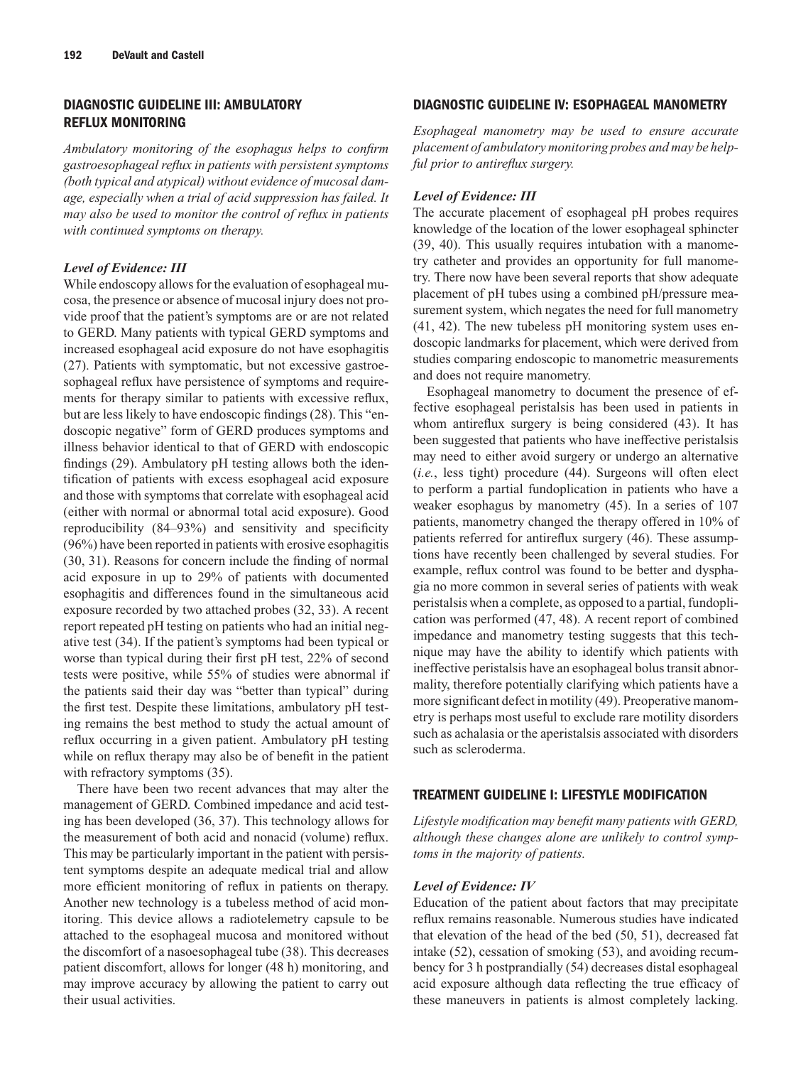# **DIAGNOSTIC GUIDELINE III: AMBULATORY REFLUX MONITORING**

*Ambulatory monitoring of the esophagus helps to confirm gastroesophageal reflux in patients with persistent symptoms (both typical and atypical) without evidence of mucosal damage, especially when a trial of acid suppression has failed. It may also be used to monitor the control of reflux in patients with continued symptoms on therapy.*

#### *Level of Evidence: III*

While endoscopy allows for the evaluation of esophageal mucosa, the presence or absence of mucosal injury does not provide proof that the patient's symptoms are or are not related to GERD. Many patients with typical GERD symptoms and increased esophageal acid exposure do not have esophagitis (27). Patients with symptomatic, but not excessive gastroesophageal reflux have persistence of symptoms and requirements for therapy similar to patients with excessive reflux, but are less likely to have endoscopic findings (28). This "endoscopic negative" form of GERD produces symptoms and illness behavior identical to that of GERD with endoscopic findings (29). Ambulatory pH testing allows both the identification of patients with excess esophageal acid exposure and those with symptoms that correlate with esophageal acid (either with normal or abnormal total acid exposure). Good reproducibility (84–93%) and sensitivity and specificity (96%) have been reported in patients with erosive esophagitis (30, 31). Reasons for concern include the finding of normal acid exposure in up to 29% of patients with documented esophagitis and differences found in the simultaneous acid exposure recorded by two attached probes (32, 33). A recent report repeated pH testing on patients who had an initial negative test (34). If the patient's symptoms had been typical or worse than typical during their first pH test, 22% of second tests were positive, while 55% of studies were abnormal if the patients said their day was "better than typical" during the first test. Despite these limitations, ambulatory pH testing remains the best method to study the actual amount of reflux occurring in a given patient. Ambulatory pH testing while on reflux therapy may also be of benefit in the patient with refractory symptoms  $(35)$ .

There have been two recent advances that may alter the management of GERD. Combined impedance and acid testing has been developed (36, 37). This technology allows for the measurement of both acid and nonacid (volume) reflux. This may be particularly important in the patient with persistent symptoms despite an adequate medical trial and allow more efficient monitoring of reflux in patients on therapy. Another new technology is a tubeless method of acid monitoring. This device allows a radiotelemetry capsule to be attached to the esophageal mucosa and monitored without the discomfort of a nasoesophageal tube (38). This decreases patient discomfort, allows for longer (48 h) monitoring, and may improve accuracy by allowing the patient to carry out their usual activities.

# **DIAGNOSTIC GUIDELINE IV: ESOPHAGEAL MANOMETRY**

*Esophageal manometry may be used to ensure accurate placement of ambulatory monitoring probes and may be helpful prior to antireflux surgery.*

# *Level of Evidence: III*

The accurate placement of esophageal pH probes requires knowledge of the location of the lower esophageal sphincter (39, 40). This usually requires intubation with a manometry catheter and provides an opportunity for full manometry. There now have been several reports that show adequate placement of pH tubes using a combined pH/pressure measurement system, which negates the need for full manometry (41, 42). The new tubeless pH monitoring system uses endoscopic landmarks for placement, which were derived from studies comparing endoscopic to manometric measurements and does not require manometry.

Esophageal manometry to document the presence of effective esophageal peristalsis has been used in patients in whom antireflux surgery is being considered (43). It has been suggested that patients who have ineffective peristalsis may need to either avoid surgery or undergo an alternative (*i.e.*, less tight) procedure (44). Surgeons will often elect to perform a partial fundoplication in patients who have a weaker esophagus by manometry (45). In a series of 107 patients, manometry changed the therapy offered in 10% of patients referred for antireflux surgery (46). These assumptions have recently been challenged by several studies. For example, reflux control was found to be better and dysphagia no more common in several series of patients with weak peristalsis when a complete, as opposed to a partial, fundoplication was performed (47, 48). A recent report of combined impedance and manometry testing suggests that this technique may have the ability to identify which patients with ineffective peristalsis have an esophageal bolus transit abnormality, therefore potentially clarifying which patients have a more significant defect in motility (49). Preoperative manometry is perhaps most useful to exclude rare motility disorders such as achalasia or the aperistalsis associated with disorders such as scleroderma.

# **TREATMENT GUIDELINE I: LIFESTYLE MODIFICATION**

*Lifestyle modification may benefit many patients with GERD, although these changes alone are unlikely to control symptoms in the majority of patients.*

#### *Level of Evidence: IV*

Education of the patient about factors that may precipitate reflux remains reasonable. Numerous studies have indicated that elevation of the head of the bed (50, 51), decreased fat intake (52), cessation of smoking (53), and avoiding recumbency for 3 h postprandially (54) decreases distal esophageal acid exposure although data reflecting the true efficacy of these maneuvers in patients is almost completely lacking.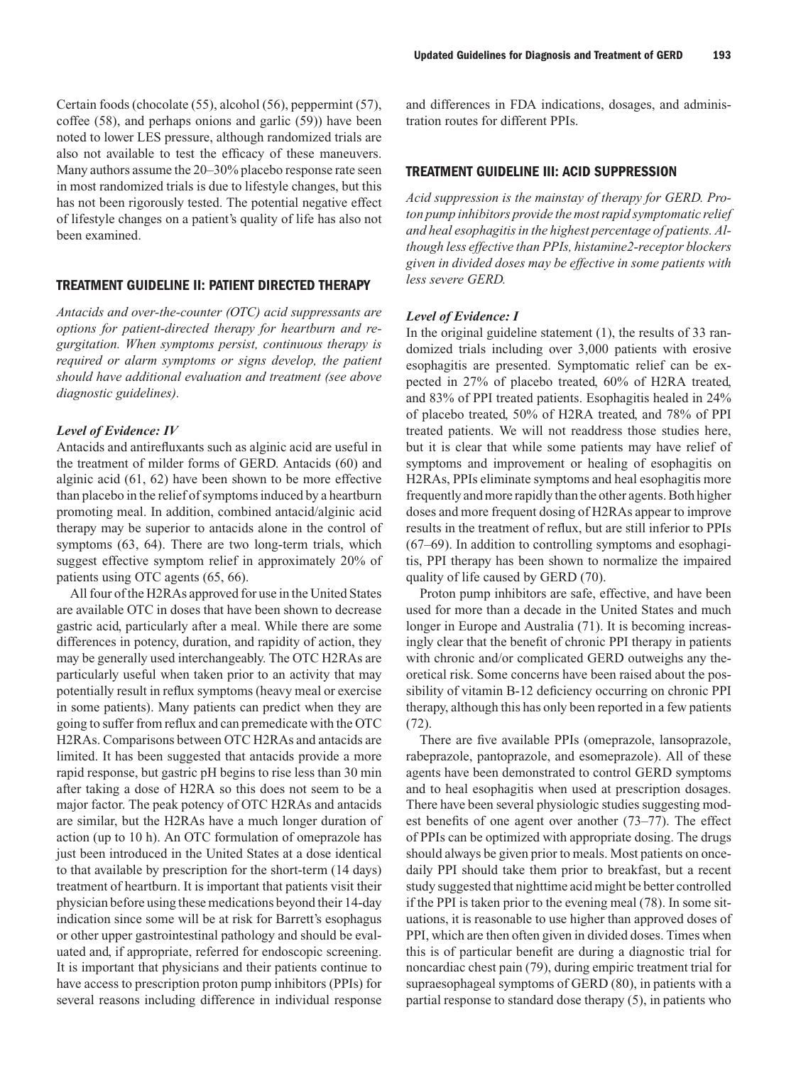Certain foods (chocolate (55), alcohol (56), peppermint (57), coffee (58), and perhaps onions and garlic (59)) have been noted to lower LES pressure, although randomized trials are also not available to test the efficacy of these maneuvers. Many authors assume the 20–30% placebo response rate seen in most randomized trials is due to lifestyle changes, but this has not been rigorously tested. The potential negative effect of lifestyle changes on a patient's quality of life has also not been examined.

# **TREATMENT GUIDELINE II: PATIENT DIRECTED THERAPY**

*Antacids and over-the-counter (OTC) acid suppressants are options for patient-directed therapy for heartburn and regurgitation. When symptoms persist, continuous therapy is required or alarm symptoms or signs develop, the patient should have additional evaluation and treatment (see above diagnostic guidelines).*

#### *Level of Evidence: IV*

Antacids and antirefluxants such as alginic acid are useful in the treatment of milder forms of GERD. Antacids (60) and alginic acid (61, 62) have been shown to be more effective than placebo in the relief of symptoms induced by a heartburn promoting meal. In addition, combined antacid/alginic acid therapy may be superior to antacids alone in the control of symptoms (63, 64). There are two long-term trials, which suggest effective symptom relief in approximately 20% of patients using OTC agents (65, 66).

All four of the H2RAs approved for use in the United States are available OTC in doses that have been shown to decrease gastric acid, particularly after a meal. While there are some differences in potency, duration, and rapidity of action, they may be generally used interchangeably. The OTC H2RAs are particularly useful when taken prior to an activity that may potentially result in reflux symptoms (heavy meal or exercise in some patients). Many patients can predict when they are going to suffer from reflux and can premedicate with the OTC H2RAs. Comparisons between OTC H2RAs and antacids are limited. It has been suggested that antacids provide a more rapid response, but gastric pH begins to rise less than 30 min after taking a dose of H2RA so this does not seem to be a major factor. The peak potency of OTC H2RAs and antacids are similar, but the H2RAs have a much longer duration of action (up to 10 h). An OTC formulation of omeprazole has just been introduced in the United States at a dose identical to that available by prescription for the short-term (14 days) treatment of heartburn. It is important that patients visit their physician before using these medications beyond their 14-day indication since some will be at risk for Barrett's esophagus or other upper gastrointestinal pathology and should be evaluated and, if appropriate, referred for endoscopic screening. It is important that physicians and their patients continue to have access to prescription proton pump inhibitors (PPIs) for several reasons including difference in individual response

and differences in FDA indications, dosages, and administration routes for different PPIs.

#### **TREATMENT GUIDELINE III: ACID SUPPRESSION**

*Acid suppression is the mainstay of therapy for GERD. Proton pump inhibitors provide the most rapid symptomatic relief and heal esophagitis in the highest percentage of patients. Although less effective than PPIs, histamine2-receptor blockers given in divided doses may be effective in some patients with less severe GERD.*

#### *Level of Evidence: I*

In the original guideline statement (1), the results of 33 randomized trials including over 3,000 patients with erosive esophagitis are presented. Symptomatic relief can be expected in 27% of placebo treated, 60% of H2RA treated, and 83% of PPI treated patients. Esophagitis healed in 24% of placebo treated, 50% of H2RA treated, and 78% of PPI treated patients. We will not readdress those studies here, but it is clear that while some patients may have relief of symptoms and improvement or healing of esophagitis on H2RAs, PPIs eliminate symptoms and heal esophagitis more frequently and more rapidly than the other agents. Both higher doses and more frequent dosing of H2RAs appear to improve results in the treatment of reflux, but are still inferior to PPIs (67–69). In addition to controlling symptoms and esophagitis, PPI therapy has been shown to normalize the impaired quality of life caused by GERD (70).

Proton pump inhibitors are safe, effective, and have been used for more than a decade in the United States and much longer in Europe and Australia (71). It is becoming increasingly clear that the benefit of chronic PPI therapy in patients with chronic and/or complicated GERD outweighs any theoretical risk. Some concerns have been raised about the possibility of vitamin B-12 deficiency occurring on chronic PPI therapy, although this has only been reported in a few patients (72).

There are five available PPIs (omeprazole, lansoprazole, rabeprazole, pantoprazole, and esomeprazole). All of these agents have been demonstrated to control GERD symptoms and to heal esophagitis when used at prescription dosages. There have been several physiologic studies suggesting modest benefits of one agent over another (73–77). The effect of PPIs can be optimized with appropriate dosing. The drugs should always be given prior to meals. Most patients on oncedaily PPI should take them prior to breakfast, but a recent study suggested that nighttime acid might be better controlled if the PPI is taken prior to the evening meal (78). In some situations, it is reasonable to use higher than approved doses of PPI, which are then often given in divided doses. Times when this is of particular benefit are during a diagnostic trial for noncardiac chest pain (79), during empiric treatment trial for supraesophageal symptoms of GERD (80), in patients with a partial response to standard dose therapy (5), in patients who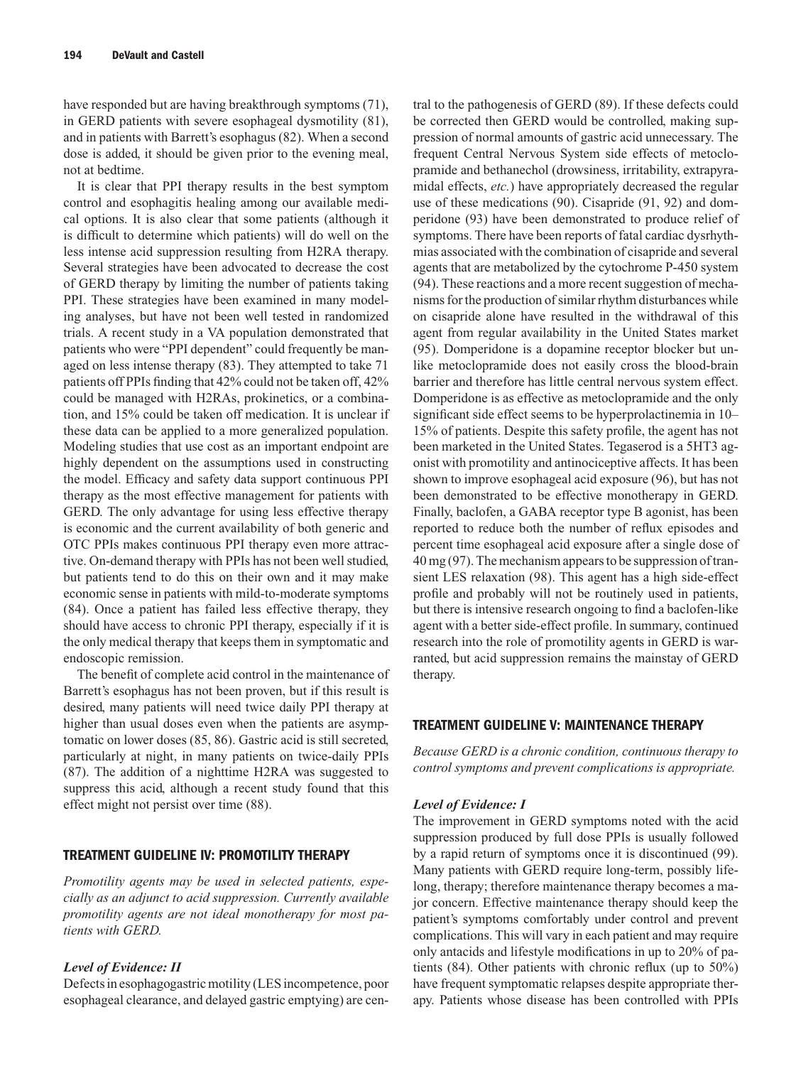have responded but are having breakthrough symptoms (71), in GERD patients with severe esophageal dysmotility (81), and in patients with Barrett's esophagus (82). When a second dose is added, it should be given prior to the evening meal, not at bedtime.

It is clear that PPI therapy results in the best symptom control and esophagitis healing among our available medical options. It is also clear that some patients (although it is difficult to determine which patients) will do well on the less intense acid suppression resulting from H2RA therapy. Several strategies have been advocated to decrease the cost of GERD therapy by limiting the number of patients taking PPI. These strategies have been examined in many modeling analyses, but have not been well tested in randomized trials. A recent study in a VA population demonstrated that patients who were "PPI dependent" could frequently be managed on less intense therapy (83). They attempted to take 71 patients off PPIs finding that 42% could not be taken off, 42% could be managed with H2RAs, prokinetics, or a combination, and 15% could be taken off medication. It is unclear if these data can be applied to a more generalized population. Modeling studies that use cost as an important endpoint are highly dependent on the assumptions used in constructing the model. Efficacy and safety data support continuous PPI therapy as the most effective management for patients with GERD. The only advantage for using less effective therapy is economic and the current availability of both generic and OTC PPIs makes continuous PPI therapy even more attractive. On-demand therapy with PPIs has not been well studied, but patients tend to do this on their own and it may make economic sense in patients with mild-to-moderate symptoms (84). Once a patient has failed less effective therapy, they should have access to chronic PPI therapy, especially if it is the only medical therapy that keeps them in symptomatic and endoscopic remission.

The benefit of complete acid control in the maintenance of Barrett's esophagus has not been proven, but if this result is desired, many patients will need twice daily PPI therapy at higher than usual doses even when the patients are asymptomatic on lower doses (85, 86). Gastric acid is still secreted, particularly at night, in many patients on twice-daily PPIs (87). The addition of a nighttime H2RA was suggested to suppress this acid, although a recent study found that this effect might not persist over time (88).

# **TREATMENT GUIDELINE IV: PROMOTILITY THERAPY**

*Promotility agents may be used in selected patients, especially as an adjunct to acid suppression. Currently available promotility agents are not ideal monotherapy for most patients with GERD.*

#### *Level of Evidence: II*

Defects in esophagogastric motility (LES incompetence, poor esophageal clearance, and delayed gastric emptying) are cen-

tral to the pathogenesis of GERD (89). If these defects could be corrected then GERD would be controlled, making suppression of normal amounts of gastric acid unnecessary. The frequent Central Nervous System side effects of metoclopramide and bethanechol (drowsiness, irritability, extrapyramidal effects, *etc.*) have appropriately decreased the regular use of these medications (90). Cisapride (91, 92) and domperidone (93) have been demonstrated to produce relief of symptoms. There have been reports of fatal cardiac dysrhythmias associated with the combination of cisapride and several agents that are metabolized by the cytochrome P-450 system (94). These reactions and a more recent suggestion of mechanisms for the production of similar rhythm disturbances while on cisapride alone have resulted in the withdrawal of this agent from regular availability in the United States market (95). Domperidone is a dopamine receptor blocker but unlike metoclopramide does not easily cross the blood-brain barrier and therefore has little central nervous system effect. Domperidone is as effective as metoclopramide and the only significant side effect seems to be hyperprolactinemia in 10– 15% of patients. Despite this safety profile, the agent has not been marketed in the United States. Tegaserod is a 5HT3 agonist with promotility and antinociceptive affects. It has been shown to improve esophageal acid exposure (96), but has not been demonstrated to be effective monotherapy in GERD. Finally, baclofen, a GABA receptor type B agonist, has been reported to reduce both the number of reflux episodes and percent time esophageal acid exposure after a single dose of 40 mg (97). The mechanism appears to be suppression of transient LES relaxation (98). This agent has a high side-effect profile and probably will not be routinely used in patients, but there is intensive research ongoing to find a baclofen-like agent with a better side-effect profile. In summary, continued research into the role of promotility agents in GERD is warranted, but acid suppression remains the mainstay of GERD therapy.

# **TREATMENT GUIDELINE V: MAINTENANCE THERAPY**

*Because GERD is a chronic condition, continuous therapy to control symptoms and prevent complications is appropriate.*

#### *Level of Evidence: I*

The improvement in GERD symptoms noted with the acid suppression produced by full dose PPIs is usually followed by a rapid return of symptoms once it is discontinued (99). Many patients with GERD require long-term, possibly lifelong, therapy; therefore maintenance therapy becomes a major concern. Effective maintenance therapy should keep the patient's symptoms comfortably under control and prevent complications. This will vary in each patient and may require only antacids and lifestyle modifications in up to 20% of patients (84). Other patients with chronic reflux (up to 50%) have frequent symptomatic relapses despite appropriate therapy. Patients whose disease has been controlled with PPIs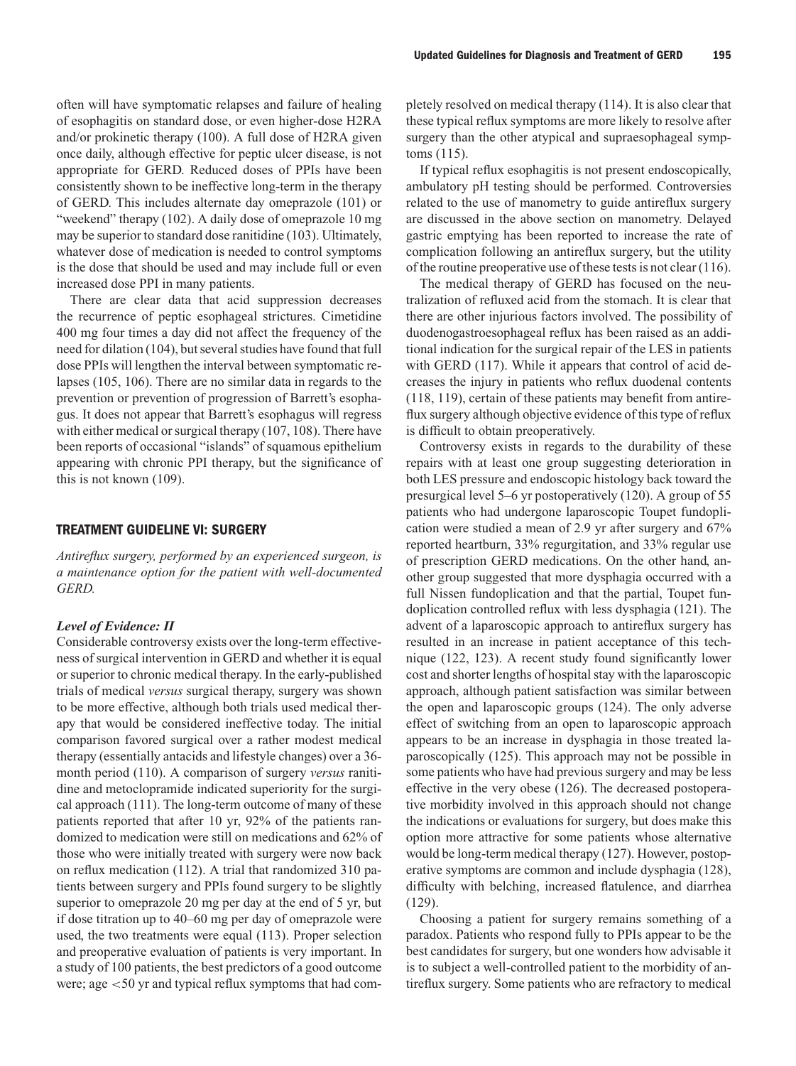often will have symptomatic relapses and failure of healing of esophagitis on standard dose, or even higher-dose H2RA and/or prokinetic therapy (100). A full dose of H2RA given once daily, although effective for peptic ulcer disease, is not appropriate for GERD. Reduced doses of PPIs have been consistently shown to be ineffective long-term in the therapy of GERD. This includes alternate day omeprazole (101) or "weekend" therapy (102). A daily dose of omeprazole 10 mg may be superior to standard dose ranitidine (103). Ultimately, whatever dose of medication is needed to control symptoms is the dose that should be used and may include full or even increased dose PPI in many patients.

There are clear data that acid suppression decreases the recurrence of peptic esophageal strictures. Cimetidine 400 mg four times a day did not affect the frequency of the need for dilation (104), but several studies have found that full dose PPIs will lengthen the interval between symptomatic relapses (105, 106). There are no similar data in regards to the prevention or prevention of progression of Barrett's esophagus. It does not appear that Barrett's esophagus will regress with either medical or surgical therapy (107, 108). There have been reports of occasional "islands" of squamous epithelium appearing with chronic PPI therapy, but the significance of this is not known (109).

#### **TREATMENT GUIDELINE VI: SURGERY**

*Antireflux surgery, performed by an experienced surgeon, is a maintenance option for the patient with well-documented GERD.*

#### *Level of Evidence: II*

Considerable controversy exists over the long-term effectiveness of surgical intervention in GERD and whether it is equal or superior to chronic medical therapy. In the early-published trials of medical *versus* surgical therapy, surgery was shown to be more effective, although both trials used medical therapy that would be considered ineffective today. The initial comparison favored surgical over a rather modest medical therapy (essentially antacids and lifestyle changes) over a 36 month period (110). A comparison of surgery *versus* ranitidine and metoclopramide indicated superiority for the surgical approach (111). The long-term outcome of many of these patients reported that after 10 yr, 92% of the patients randomized to medication were still on medications and 62% of those who were initially treated with surgery were now back on reflux medication (112). A trial that randomized 310 patients between surgery and PPIs found surgery to be slightly superior to omeprazole 20 mg per day at the end of 5 yr, but if dose titration up to 40–60 mg per day of omeprazole were used, the two treatments were equal (113). Proper selection and preoperative evaluation of patients is very important. In a study of 100 patients, the best predictors of a good outcome were; age <50 yr and typical reflux symptoms that had completely resolved on medical therapy (114). It is also clear that these typical reflux symptoms are more likely to resolve after surgery than the other atypical and supraesophageal symptoms (115).

If typical reflux esophagitis is not present endoscopically, ambulatory pH testing should be performed. Controversies related to the use of manometry to guide antireflux surgery are discussed in the above section on manometry. Delayed gastric emptying has been reported to increase the rate of complication following an antireflux surgery, but the utility of the routine preoperative use of these tests is not clear (116).

The medical therapy of GERD has focused on the neutralization of refluxed acid from the stomach. It is clear that there are other injurious factors involved. The possibility of duodenogastroesophageal reflux has been raised as an additional indication for the surgical repair of the LES in patients with GERD (117). While it appears that control of acid decreases the injury in patients who reflux duodenal contents (118, 119), certain of these patients may benefit from antireflux surgery although objective evidence of this type of reflux is difficult to obtain preoperatively.

Controversy exists in regards to the durability of these repairs with at least one group suggesting deterioration in both LES pressure and endoscopic histology back toward the presurgical level 5–6 yr postoperatively (120). A group of 55 patients who had undergone laparoscopic Toupet fundoplication were studied a mean of 2.9 yr after surgery and 67% reported heartburn, 33% regurgitation, and 33% regular use of prescription GERD medications. On the other hand, another group suggested that more dysphagia occurred with a full Nissen fundoplication and that the partial, Toupet fundoplication controlled reflux with less dysphagia (121). The advent of a laparoscopic approach to antireflux surgery has resulted in an increase in patient acceptance of this technique (122, 123). A recent study found significantly lower cost and shorter lengths of hospital stay with the laparoscopic approach, although patient satisfaction was similar between the open and laparoscopic groups (124). The only adverse effect of switching from an open to laparoscopic approach appears to be an increase in dysphagia in those treated laparoscopically (125). This approach may not be possible in some patients who have had previous surgery and may be less effective in the very obese (126). The decreased postoperative morbidity involved in this approach should not change the indications or evaluations for surgery, but does make this option more attractive for some patients whose alternative would be long-term medical therapy (127). However, postoperative symptoms are common and include dysphagia (128), difficulty with belching, increased flatulence, and diarrhea (129).

Choosing a patient for surgery remains something of a paradox. Patients who respond fully to PPIs appear to be the best candidates for surgery, but one wonders how advisable it is to subject a well-controlled patient to the morbidity of antireflux surgery. Some patients who are refractory to medical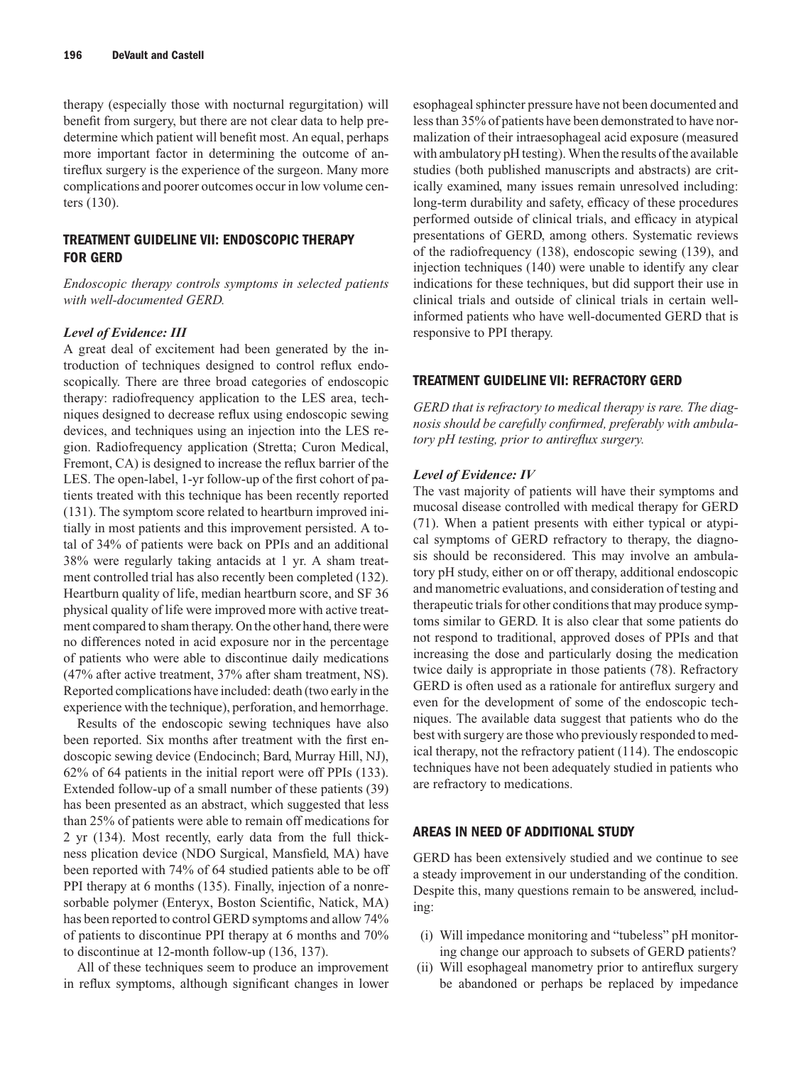therapy (especially those with nocturnal regurgitation) will benefit from surgery, but there are not clear data to help predetermine which patient will benefit most. An equal, perhaps more important factor in determining the outcome of antireflux surgery is the experience of the surgeon. Many more complications and poorer outcomes occur in low volume centers (130).

# **TREATMENT GUIDELINE VII: ENDOSCOPIC THERAPY FOR GERD**

*Endoscopic therapy controls symptoms in selected patients with well-documented GERD.*

#### *Level of Evidence: III*

A great deal of excitement had been generated by the introduction of techniques designed to control reflux endoscopically. There are three broad categories of endoscopic therapy: radiofrequency application to the LES area, techniques designed to decrease reflux using endoscopic sewing devices, and techniques using an injection into the LES region. Radiofrequency application (Stretta; Curon Medical, Fremont, CA) is designed to increase the reflux barrier of the LES. The open-label, 1-yr follow-up of the first cohort of patients treated with this technique has been recently reported (131). The symptom score related to heartburn improved initially in most patients and this improvement persisted. A total of 34% of patients were back on PPIs and an additional 38% were regularly taking antacids at 1 yr. A sham treatment controlled trial has also recently been completed (132). Heartburn quality of life, median heartburn score, and SF 36 physical quality of life were improved more with active treatment compared to sham therapy. On the other hand, there were no differences noted in acid exposure nor in the percentage of patients who were able to discontinue daily medications (47% after active treatment, 37% after sham treatment, NS). Reported complications have included: death (two early in the experience with the technique), perforation, and hemorrhage.

Results of the endoscopic sewing techniques have also been reported. Six months after treatment with the first endoscopic sewing device (Endocinch; Bard, Murray Hill, NJ), 62% of 64 patients in the initial report were off PPIs (133). Extended follow-up of a small number of these patients (39) has been presented as an abstract, which suggested that less than 25% of patients were able to remain off medications for 2 yr (134). Most recently, early data from the full thickness plication device (NDO Surgical, Mansfield, MA) have been reported with 74% of 64 studied patients able to be off PPI therapy at 6 months (135). Finally, injection of a nonresorbable polymer (Enteryx, Boston Scientific, Natick, MA) has been reported to control GERD symptoms and allow 74% of patients to discontinue PPI therapy at 6 months and 70% to discontinue at 12-month follow-up (136, 137).

All of these techniques seem to produce an improvement in reflux symptoms, although significant changes in lower esophageal sphincter pressure have not been documented and less than 35% of patients have been demonstrated to have normalization of their intraesophageal acid exposure (measured with ambulatory pH testing). When the results of the available studies (both published manuscripts and abstracts) are critically examined, many issues remain unresolved including: long-term durability and safety, efficacy of these procedures performed outside of clinical trials, and efficacy in atypical presentations of GERD, among others. Systematic reviews of the radiofrequency (138), endoscopic sewing (139), and injection techniques (140) were unable to identify any clear indications for these techniques, but did support their use in clinical trials and outside of clinical trials in certain wellinformed patients who have well-documented GERD that is responsive to PPI therapy.

#### **TREATMENT GUIDELINE VII: REFRACTORY GERD**

*GERD that is refractory to medical therapy is rare. The diagnosis should be carefully confirmed, preferably with ambulatory pH testing, prior to antireflux surgery.*

#### *Level of Evidence: IV*

The vast majority of patients will have their symptoms and mucosal disease controlled with medical therapy for GERD (71). When a patient presents with either typical or atypical symptoms of GERD refractory to therapy, the diagnosis should be reconsidered. This may involve an ambulatory pH study, either on or off therapy, additional endoscopic and manometric evaluations, and consideration of testing and therapeutic trials for other conditions that may produce symptoms similar to GERD. It is also clear that some patients do not respond to traditional, approved doses of PPIs and that increasing the dose and particularly dosing the medication twice daily is appropriate in those patients (78). Refractory GERD is often used as a rationale for antireflux surgery and even for the development of some of the endoscopic techniques. The available data suggest that patients who do the best with surgery are those who previously responded to medical therapy, not the refractory patient (114). The endoscopic techniques have not been adequately studied in patients who are refractory to medications.

#### **AREAS IN NEED OF ADDITIONAL STUDY**

GERD has been extensively studied and we continue to see a steady improvement in our understanding of the condition. Despite this, many questions remain to be answered, including:

- (i) Will impedance monitoring and "tubeless" pH monitoring change our approach to subsets of GERD patients?
- (ii) Will esophageal manometry prior to antireflux surgery be abandoned or perhaps be replaced by impedance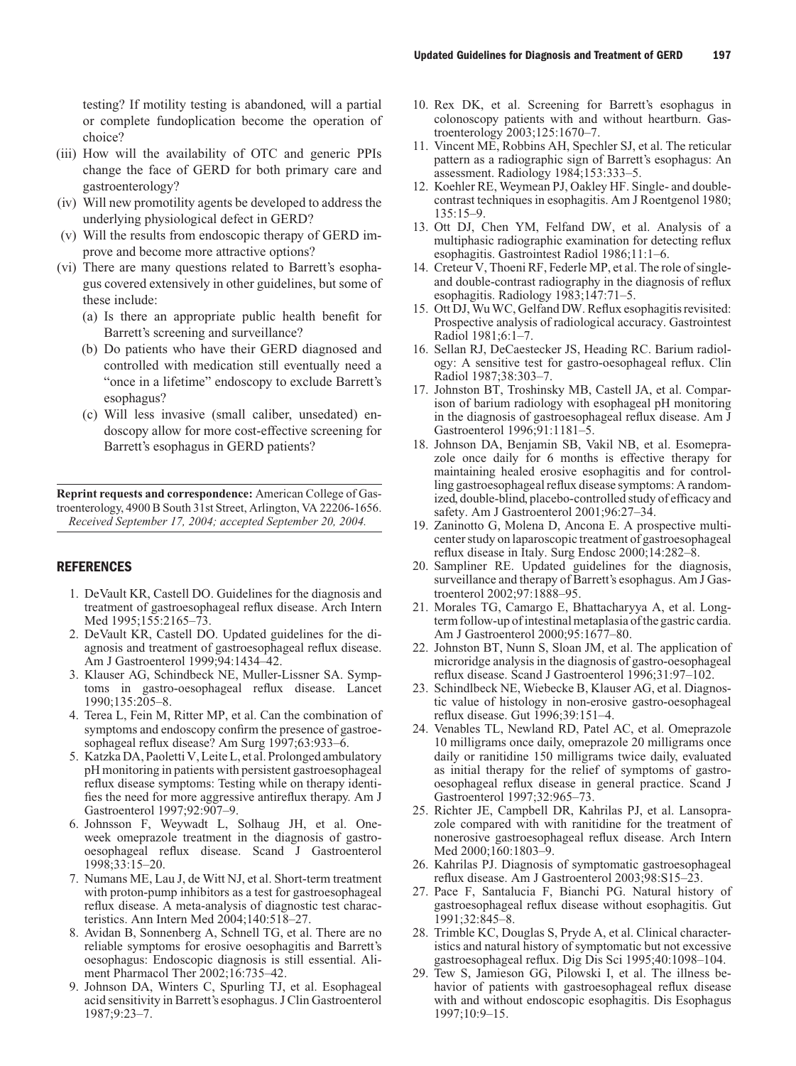testing? If motility testing is abandoned, will a partial or complete fundoplication become the operation of choice?

- (iii) How will the availability of OTC and generic PPIs change the face of GERD for both primary care and gastroenterology?
- (iv) Will new promotility agents be developed to address the underlying physiological defect in GERD?
- (v) Will the results from endoscopic therapy of GERD improve and become more attractive options?
- (vi) There are many questions related to Barrett's esophagus covered extensively in other guidelines, but some of these include:
	- (a) Is there an appropriate public health benefit for Barrett's screening and surveillance?
	- (b) Do patients who have their GERD diagnosed and controlled with medication still eventually need a "once in a lifetime" endoscopy to exclude Barrett's esophagus?
	- (c) Will less invasive (small caliber, unsedated) endoscopy allow for more cost-effective screening for Barrett's esophagus in GERD patients?

**Reprint requests and correspondence:** American College of Gastroenterology, 4900 B South 31st Street, Arlington, VA 22206-1656. *Received September 17, 2004; accepted September 20, 2004.*

# **REFERENCES**

- 1. DeVault KR, Castell DO. Guidelines for the diagnosis and treatment of gastroesophageal reflux disease. Arch Intern Med 1995;155:2165–73.
- 2. DeVault KR, Castell DO. Updated guidelines for the diagnosis and treatment of gastroesophageal reflux disease. Am J Gastroenterol 1999;94:1434–42.
- 3. Klauser AG, Schindbeck NE, Muller-Lissner SA. Symptoms in gastro-oesophageal reflux disease. Lancet 1990;135:205–8.
- 4. Terea L, Fein M, Ritter MP, et al. Can the combination of symptoms and endoscopy confirm the presence of gastroesophageal reflux disease? Am Surg 1997;63:933–6.
- 5. Katzka DA, Paoletti V, Leite L, et al. Prolonged ambulatory pH monitoring in patients with persistent gastroesophageal reflux disease symptoms: Testing while on therapy identifies the need for more aggressive antireflux therapy. Am J Gastroenterol 1997;92:907–9.
- 6. Johnsson F, Weywadt L, Solhaug JH, et al. Oneweek omeprazole treatment in the diagnosis of gastrooesophageal reflux disease. Scand J Gastroenterol 1998;33:15–20.
- 7. Numans ME, Lau J, de Witt NJ, et al. Short-term treatment with proton-pump inhibitors as a test for gastroesophageal reflux disease. A meta-analysis of diagnostic test characteristics. Ann Intern Med 2004;140:518–27.
- 8. Avidan B, Sonnenberg A, Schnell TG, et al. There are no reliable symptoms for erosive oesophagitis and Barrett's oesophagus: Endoscopic diagnosis is still essential. Aliment Pharmacol Ther 2002;16:735–42.
- 9. Johnson DA, Winters C, Spurling TJ, et al. Esophageal acid sensitivity in Barrett's esophagus. J Clin Gastroenterol 1987;9:23–7.
- 10. Rex DK, et al. Screening for Barrett's esophagus in colonoscopy patients with and without heartburn. Gastroenterology 2003;125:1670–7.
- 11. Vincent ME, Robbins AH, Spechler SJ, et al. The reticular pattern as a radiographic sign of Barrett's esophagus: An assessment. Radiology 1984;153:333–5.
- 12. Koehler RE, Weymean PJ, Oakley HF. Single- and doublecontrast techniques in esophagitis. Am J Roentgenol 1980; 135:15–9.
- 13. Ott DJ, Chen YM, Felfand DW, et al. Analysis of a multiphasic radiographic examination for detecting reflux esophagitis. Gastrointest Radiol 1986;11:1–6.
- 14. Creteur V, Thoeni RF, Federle MP, et al. The role of singleand double-contrast radiography in the diagnosis of reflux esophagitis. Radiology 1983;147:71–5.
- 15. Ott DJ, Wu WC, Gelfand DW. Reflux esophagitis revisited: Prospective analysis of radiological accuracy. Gastrointest Radiol 1981;6:1–7.
- 16. Sellan RJ, DeCaestecker JS, Heading RC. Barium radiology: A sensitive test for gastro-oesophageal reflux. Clin Radiol 1987;38:303–7.
- 17. Johnston BT, Troshinsky MB, Castell JA, et al. Comparison of barium radiology with esophageal pH monitoring in the diagnosis of gastroesophageal reflux disease. Am J Gastroenterol 1996;91:1181–5.
- 18. Johnson DA, Benjamin SB, Vakil NB, et al. Esomeprazole once daily for 6 months is effective therapy for maintaining healed erosive esophagitis and for controlling gastroesophageal reflux disease symptoms: A randomized, double-blind, placebo-controlled study of efficacy and safety. Am J Gastroenterol 2001;96:27–34.
- 19. Zaninotto G, Molena D, Ancona E. A prospective multicenter study on laparoscopic treatment of gastroesophageal reflux disease in Italy. Surg Endosc 2000;14:282–8.
- 20. Sampliner RE. Updated guidelines for the diagnosis, surveillance and therapy of Barrett's esophagus. Am J Gastroenterol 2002;97:1888–95.
- 21. Morales TG, Camargo E, Bhattacharyya A, et al. Longterm follow-up of intestinal metaplasia of the gastric cardia. Am J Gastroenterol 2000;95:1677–80.
- 22. Johnston BT, Nunn S, Sloan JM, et al. The application of microridge analysis in the diagnosis of gastro-oesophageal reflux disease. Scand J Gastroenterol 1996;31:97–102.
- 23. Schindlbeck NE, Wiebecke B, Klauser AG, et al. Diagnostic value of histology in non-erosive gastro-oesophageal reflux disease. Gut 1996;39:151–4.
- 24. Venables TL, Newland RD, Patel AC, et al. Omeprazole 10 milligrams once daily, omeprazole 20 milligrams once daily or ranitidine 150 milligrams twice daily, evaluated as initial therapy for the relief of symptoms of gastrooesophageal reflux disease in general practice. Scand J Gastroenterol 1997;32:965–73.
- 25. Richter JE, Campbell DR, Kahrilas PJ, et al. Lansoprazole compared with with ranitidine for the treatment of nonerosive gastroesophageal reflux disease. Arch Intern Med 2000;160:1803–9.
- 26. Kahrilas PJ. Diagnosis of symptomatic gastroesophageal reflux disease. Am J Gastroenterol 2003;98:S15–23.
- 27. Pace F, Santalucia F, Bianchi PG. Natural history of gastroesophageal reflux disease without esophagitis. Gut 1991;32:845–8.
- 28. Trimble KC, Douglas S, Pryde A, et al. Clinical characteristics and natural history of symptomatic but not excessive gastroesophageal reflux. Dig Dis Sci 1995;40:1098–104.
- 29. Tew S, Jamieson GG, Pilowski I, et al. The illness behavior of patients with gastroesophageal reflux disease with and without endoscopic esophagitis. Dis Esophagus 1997;10:9–15.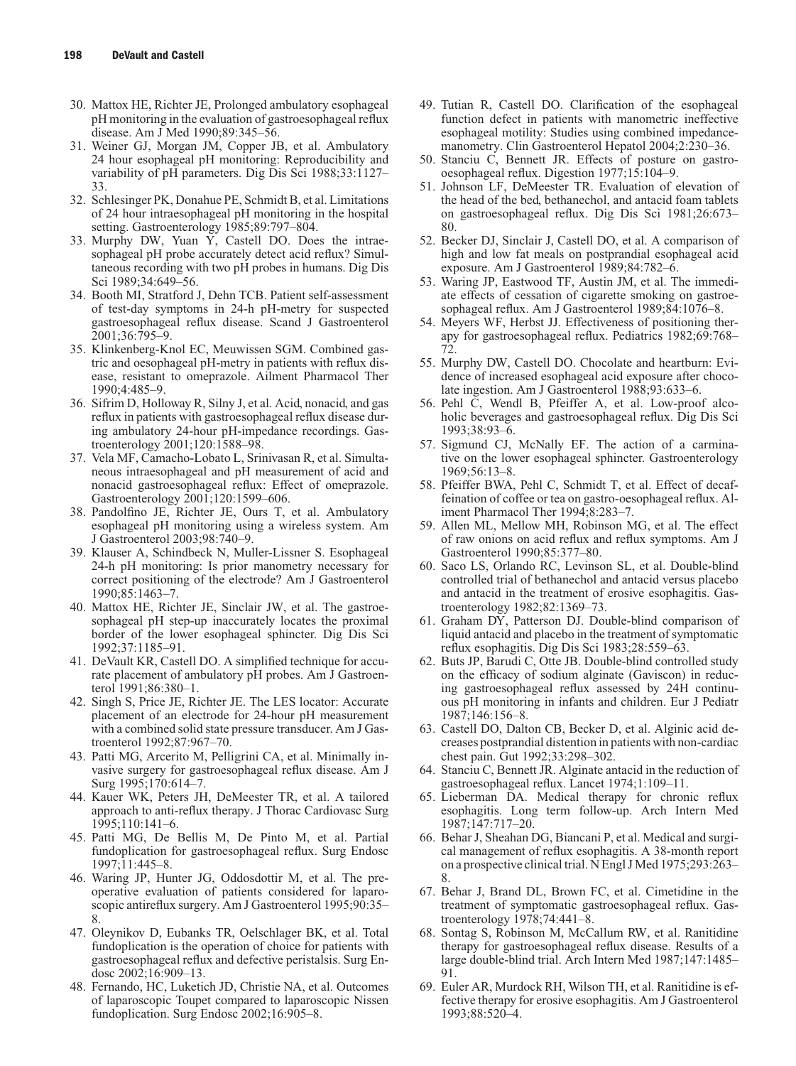- 30. Mattox HE, Richter JE, Prolonged ambulatory esophageal pH monitoring in the evaluation of gastroesophageal reflux disease. Am J Med 1990;89:345–56.
- 31. Weiner GJ, Morgan JM, Copper JB, et al. Ambulatory 24 hour esophageal pH monitoring: Reproducibility and variability of pH parameters. Dig Dis Sci 1988;33:1127– 33.
- 32. Schlesinger PK, Donahue PE, Schmidt B, et al. Limitations of 24 hour intraesophageal pH monitoring in the hospital setting. Gastroenterology 1985;89:797–804.
- 33. Murphy DW, Yuan Y, Castell DO. Does the intraesophageal pH probe accurately detect acid reflux? Simultaneous recording with two pH probes in humans. Dig Dis Sci 1989;34:649–56.
- 34. Booth MI, Stratford J, Dehn TCB. Patient self-assessment of test-day symptoms in 24-h pH-metry for suspected gastroesophageal reflux disease. Scand J Gastroenterol 2001;36:795–9.
- 35. Klinkenberg-Knol EC, Meuwissen SGM. Combined gastric and oesophageal pH-metry in patients with reflux disease, resistant to omeprazole. Ailment Pharmacol Ther 1990;4:485–9.
- 36. Sifrim D, Holloway R, Silny J, et al. Acid, nonacid, and gas reflux in patients with gastroesophageal reflux disease during ambulatory 24-hour pH-impedance recordings. Gastroenterology 2001;120:1588–98.
- 37. Vela MF, Camacho-Lobato L, Srinivasan R, et al. Simultaneous intraesophageal and pH measurement of acid and nonacid gastroesophageal reflux: Effect of omeprazole. Gastroenterology 2001;120:1599–606.
- 38. Pandolfino JE, Richter JE, Ours T, et al. Ambulatory esophageal pH monitoring using a wireless system. Am J Gastroenterol 2003;98:740–9.
- 39. Klauser A, Schindbeck N, Muller-Lissner S. Esophageal 24-h pH monitoring: Is prior manometry necessary for correct positioning of the electrode? Am J Gastroenterol 1990;85:1463–7.
- 40. Mattox HE, Richter JE, Sinclair JW, et al. The gastroesophageal pH step-up inaccurately locates the proximal border of the lower esophageal sphincter. Dig Dis Sci 1992;37:1185–91.
- 41. DeVault KR, Castell DO. A simplified technique for accurate placement of ambulatory pH probes. Am J Gastroenterol 1991;86:380–1.
- 42. Singh S, Price JE, Richter JE. The LES locator: Accurate placement of an electrode for 24-hour pH measurement with a combined solid state pressure transducer. Am J Gastroenterol 1992;87:967–70.
- 43. Patti MG, Arcerito M, Pelligrini CA, et al. Minimally invasive surgery for gastroesophageal reflux disease. Am J Surg 1995;170:614–7.
- 44. Kauer WK, Peters JH, DeMeester TR, et al. A tailored approach to anti-reflux therapy. J Thorac Cardiovasc Surg 1995;110:141–6.
- 45. Patti MG, De Bellis M, De Pinto M, et al. Partial fundoplication for gastroesophageal reflux. Surg Endosc 1997;11:445–8.
- 46. Waring JP, Hunter JG, Oddosdottir M, et al. The preoperative evaluation of patients considered for laparoscopic antireflux surgery. Am J Gastroenterol 1995;90:35– 8.
- 47. Oleynikov D, Eubanks TR, Oelschlager BK, et al. Total fundoplication is the operation of choice for patients with gastroesophageal reflux and defective peristalsis. Surg Endosc 2002;16:909–13.
- 48. Fernando, HC, Luketich JD, Christie NA, et al. Outcomes of laparoscopic Toupet compared to laparoscopic Nissen fundoplication. Surg Endosc 2002;16:905–8.
- 49. Tutian R, Castell DO. Clarification of the esophageal function defect in patients with manometric ineffective esophageal motility: Studies using combined impedancemanometry. Clin Gastroenterol Hepatol 2004;2:230–36.
- 50. Stanciu C, Bennett JR. Effects of posture on gastrooesophageal reflux. Digestion 1977;15:104–9.
- 51. Johnson LF, DeMeester TR. Evaluation of elevation of the head of the bed, bethanechol, and antacid foam tablets on gastroesophageal reflux. Dig Dis Sci 1981;26:673– 80.
- 52. Becker DJ, Sinclair J, Castell DO, et al. A comparison of high and low fat meals on postprandial esophageal acid exposure. Am J Gastroenterol 1989;84:782–6.
- 53. Waring JP, Eastwood TF, Austin JM, et al. The immediate effects of cessation of cigarette smoking on gastroesophageal reflux. Am J Gastroenterol 1989;84:1076–8.
- 54. Meyers WF, Herbst JJ. Effectiveness of positioning therapy for gastroesophageal reflux. Pediatrics 1982;69:768– 72.
- 55. Murphy DW, Castell DO. Chocolate and heartburn: Evidence of increased esophageal acid exposure after chocolate ingestion. Am J Gastroenterol 1988;93:633–6.
- 56. Pehl C, Wendl B, Pfeiffer A, et al. Low-proof alcoholic beverages and gastroesophageal reflux. Dig Dis Sci 1993;38:93–6.
- 57. Sigmund CJ, McNally EF. The action of a carminative on the lower esophageal sphincter. Gastroenterology 1969;56:13–8.
- 58. Pfeiffer BWA, Pehl C, Schmidt T, et al. Effect of decaffeination of coffee or tea on gastro-oesophageal reflux. Aliment Pharmacol Ther 1994;8:283–7.
- 59. Allen ML, Mellow MH, Robinson MG, et al. The effect of raw onions on acid reflux and reflux symptoms. Am J Gastroenterol 1990;85:377–80.
- 60. Saco LS, Orlando RC, Levinson SL, et al. Double-blind controlled trial of bethanechol and antacid versus placebo and antacid in the treatment of erosive esophagitis. Gastroenterology 1982;82:1369–73.
- 61. Graham DY, Patterson DJ. Double-blind comparison of liquid antacid and placebo in the treatment of symptomatic reflux esophagitis. Dig Dis Sci 1983;28:559–63.
- 62. Buts JP, Barudi C, Otte JB. Double-blind controlled study on the efficacy of sodium alginate (Gaviscon) in reducing gastroesophageal reflux assessed by 24H continuous pH monitoring in infants and children. Eur J Pediatr 1987;146:156–8.
- 63. Castell DO, Dalton CB, Becker D, et al. Alginic acid decreases postprandial distention in patients with non-cardiac chest pain. Gut 1992;33:298–302.
- 64. Stanciu C, Bennett JR. Alginate antacid in the reduction of gastroesophageal reflux. Lancet 1974;1:109–11.
- 65. Lieberman DA. Medical therapy for chronic reflux esophagitis. Long term follow-up. Arch Intern Med 1987;147:717–20.
- 66. Behar J, Sheahan DG, Biancani P, et al. Medical and surgical management of reflux esophagitis. A 38-month report on a prospective clinical trial. N Engl J Med 1975;293:263– 8.
- 67. Behar J, Brand DL, Brown FC, et al. Cimetidine in the treatment of symptomatic gastroesophageal reflux. Gastroenterology 1978;74:441–8.
- 68. Sontag S, Robinson M, McCallum RW, et al. Ranitidine therapy for gastroesophageal reflux disease. Results of a large double-blind trial. Arch Intern Med 1987;147:1485– 91.
- 69. Euler AR, Murdock RH, Wilson TH, et al. Ranitidine is effective therapy for erosive esophagitis. Am J Gastroenterol 1993;88:520–4.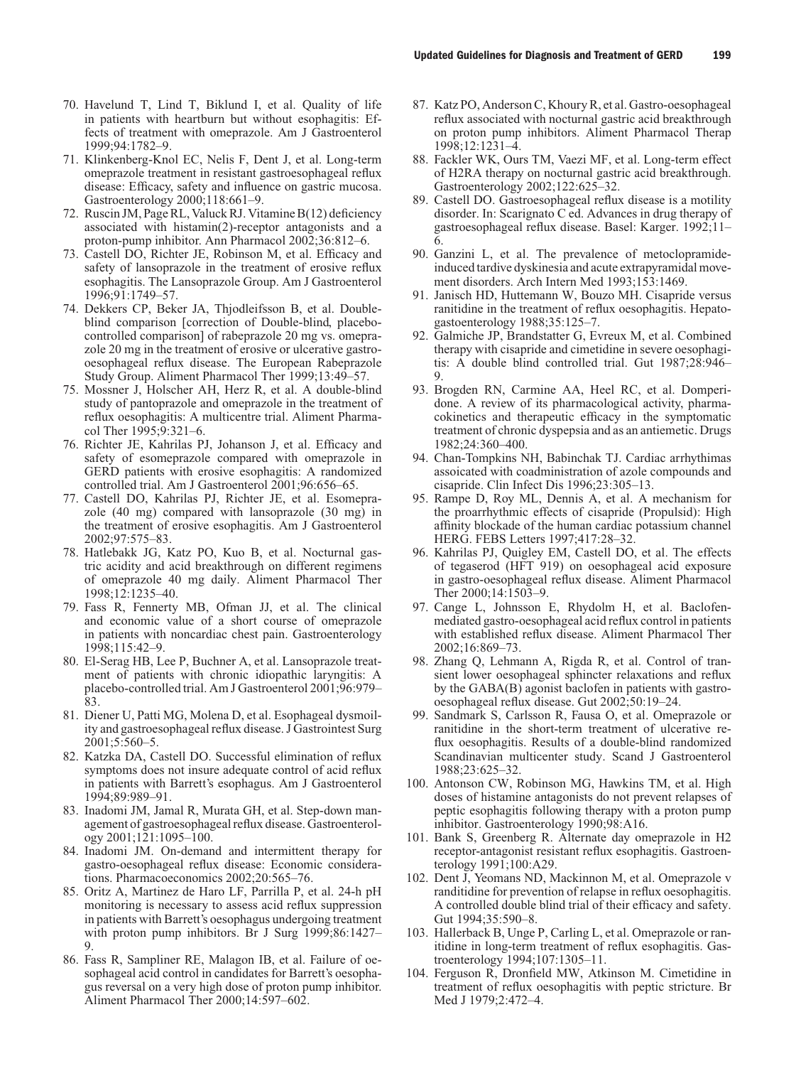- 70. Havelund T, Lind T, Biklund I, et al. Quality of life in patients with heartburn but without esophagitis: Effects of treatment with omeprazole. Am J Gastroenterol 1999;94:1782–9.
- 71. Klinkenberg-Knol EC, Nelis F, Dent J, et al. Long-term omeprazole treatment in resistant gastroesophageal reflux disease: Efficacy, safety and influence on gastric mucosa. Gastroenterology 2000;118:661–9.
- 72. Ruscin JM, Page RL, Valuck RJ. Vitamine B(12) deficiency associated with histamin(2)-receptor antagonists and a proton-pump inhibitor. Ann Pharmacol 2002;36:812–6.
- 73. Castell DO, Richter JE, Robinson M, et al. Efficacy and safety of lansoprazole in the treatment of erosive reflux esophagitis. The Lansoprazole Group. Am J Gastroenterol 1996;91:1749–57.
- 74. Dekkers CP, Beker JA, Thjodleifsson B, et al. Doubleblind comparison [correction of Double-blind, placebocontrolled comparison] of rabeprazole 20 mg vs. omeprazole 20 mg in the treatment of erosive or ulcerative gastrooesophageal reflux disease. The European Rabeprazole Study Group. Aliment Pharmacol Ther 1999;13:49–57.
- 75. Mossner J, Holscher AH, Herz R, et al. A double-blind study of pantoprazole and omeprazole in the treatment of reflux oesophagitis: A multicentre trial. Aliment Pharmacol Ther 1995;9:321-6.
- 76. Richter JE, Kahrilas PJ, Johanson J, et al. Efficacy and safety of esomeprazole compared with omeprazole in GERD patients with erosive esophagitis: A randomized controlled trial. Am J Gastroenterol 2001;96:656–65.
- 77. Castell DO, Kahrilas PJ, Richter JE, et al. Esomeprazole (40 mg) compared with lansoprazole (30 mg) in the treatment of erosive esophagitis. Am J Gastroenterol 2002;97:575–83.
- 78. Hatlebakk JG, Katz PO, Kuo B, et al. Nocturnal gastric acidity and acid breakthrough on different regimens of omeprazole 40 mg daily. Aliment Pharmacol Ther 1998;12:1235–40.
- 79. Fass R, Fennerty MB, Ofman JJ, et al. The clinical and economic value of a short course of omeprazole in patients with noncardiac chest pain. Gastroenterology 1998;115:42–9.
- 80. El-Serag HB, Lee P, Buchner A, et al. Lansoprazole treatment of patients with chronic idiopathic laryngitis: A placebo-controlled trial. Am J Gastroenterol 2001;96:979– 83.
- 81. Diener U, Patti MG, Molena D, et al. Esophageal dysmoility and gastroesophageal reflux disease. J Gastrointest Surg 2001;5:560–5.
- 82. Katzka DA, Castell DO. Successful elimination of reflux symptoms does not insure adequate control of acid reflux in patients with Barrett's esophagus. Am J Gastroenterol 1994;89:989–91.
- 83. Inadomi JM, Jamal R, Murata GH, et al. Step-down management of gastroesophageal reflux disease. Gastroenterology 2001;121:1095–100.
- 84. Inadomi JM. On-demand and intermittent therapy for gastro-oesophageal reflux disease: Economic considerations. Pharmacoeconomics 2002;20:565–76.
- 85. Oritz A, Martinez de Haro LF, Parrilla P, et al. 24-h pH monitoring is necessary to assess acid reflux suppression in patients with Barrett's oesophagus undergoing treatment with proton pump inhibitors. Br J Surg 1999;86:1427– 9.
- 86. Fass R, Sampliner RE, Malagon IB, et al. Failure of oesophageal acid control in candidates for Barrett's oesophagus reversal on a very high dose of proton pump inhibitor. Aliment Pharmacol Ther 2000;14:597–602.
- 87. Katz PO, Anderson C, Khoury R, et al. Gastro-oesophageal reflux associated with nocturnal gastric acid breakthrough on proton pump inhibitors. Aliment Pharmacol Therap 1998;12:1231–4.
- 88. Fackler WK, Ours TM, Vaezi MF, et al. Long-term effect of H2RA therapy on nocturnal gastric acid breakthrough. Gastroenterology 2002;122:625–32.
- 89. Castell DO. Gastroesophageal reflux disease is a motility disorder. In: Scarignato C ed. Advances in drug therapy of gastroesophageal reflux disease. Basel: Karger. 1992;11– 6.
- 90. Ganzini L, et al. The prevalence of metoclopramideinduced tardive dyskinesia and acute extrapyramidal movement disorders. Arch Intern Med 1993;153:1469.
- 91. Janisch HD, Huttemann W, Bouzo MH. Cisapride versus ranitidine in the treatment of reflux oesophagitis. Hepatogastoenterology 1988;35:125–7.
- 92. Galmiche JP, Brandstatter G, Evreux M, et al. Combined therapy with cisapride and cimetidine in severe oesophagitis: A double blind controlled trial. Gut 1987;28:946– 9.
- 93. Brogden RN, Carmine AA, Heel RC, et al. Domperidone. A review of its pharmacological activity, pharmacokinetics and therapeutic efficacy in the symptomatic treatment of chronic dyspepsia and as an antiemetic. Drugs 1982;24:360–400.
- 94. Chan-Tompkins NH, Babinchak TJ. Cardiac arrhythimas assoicated with coadministration of azole compounds and cisapride. Clin Infect Dis 1996;23:305–13.
- 95. Rampe D, Roy ML, Dennis A, et al. A mechanism for the proarrhythmic effects of cisapride (Propulsid): High affinity blockade of the human cardiac potassium channel HERG. FEBS Letters 1997;417:28–32.
- 96. Kahrilas PJ, Quigley EM, Castell DO, et al. The effects of tegaserod (HFT 919) on oesophageal acid exposure in gastro-oesophageal reflux disease. Aliment Pharmacol Ther 2000;14:1503–9.
- 97. Cange L, Johnsson E, Rhydolm H, et al. Baclofenmediated gastro-oesophageal acid reflux control in patients with established reflux disease. Aliment Pharmacol Ther 2002;16:869–73.
- 98. Zhang Q, Lehmann A, Rigda R, et al. Control of transient lower oesophageal sphincter relaxations and reflux by the GABA(B) agonist baclofen in patients with gastrooesophageal reflux disease. Gut 2002;50:19–24.
- 99. Sandmark S, Carlsson R, Fausa O, et al. Omeprazole or ranitidine in the short-term treatment of ulcerative reflux oesophagitis. Results of a double-blind randomized Scandinavian multicenter study. Scand J Gastroenterol 1988;23:625–32.
- 100. Antonson CW, Robinson MG, Hawkins TM, et al. High doses of histamine antagonists do not prevent relapses of peptic esophagitis following therapy with a proton pump inhibitor. Gastroenterology 1990;98:A16.
- 101. Bank S, Greenberg R. Alternate day omeprazole in H2 receptor-antagonist resistant reflux esophagitis. Gastroenterology 1991;100:A29.
- 102. Dent J, Yeomans ND, Mackinnon M, et al. Omeprazole v randitidine for prevention of relapse in reflux oesophagitis. A controlled double blind trial of their efficacy and safety. Gut 1994;35:590–8.
- 103. Hallerback B, Unge P, Carling L, et al. Omeprazole or ranitidine in long-term treatment of reflux esophagitis. Gastroenterology 1994;107:1305–11.
- 104. Ferguson R, Dronfield MW, Atkinson M. Cimetidine in treatment of reflux oesophagitis with peptic stricture. Br Med J 1979;2:472–4.